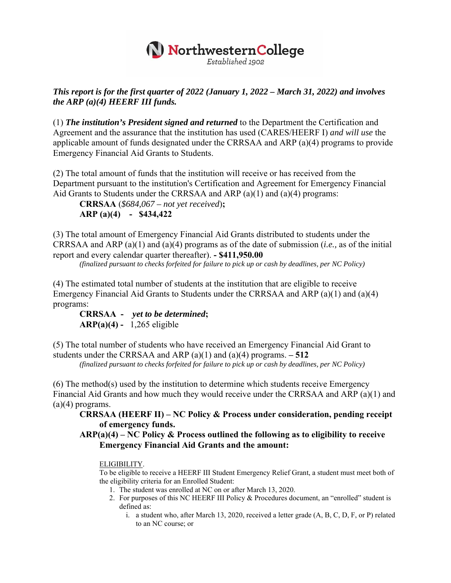## NorthwesternCollege

Established 1902

## *This report is for the first quarter of 2022 (January 1, 2022 – March 31, 2022) and involves the ARP (a)(4) HEERF III funds.*

(1) *The institution's President signed and returned* to the Department the Certification and Agreement and the assurance that the institution has used (CARES/HEERF I) *and will use* the applicable amount of funds designated under the CRRSAA and ARP (a)(4) programs to provide Emergency Financial Aid Grants to Students.

(2) The total amount of funds that the institution will receive or has received from the Department pursuant to the institution's Certification and Agreement for Emergency Financial Aid Grants to Students under the CRRSAA and ARP (a)(1) and (a)(4) programs:

**CRRSAA** (*\$684,067 – not yet received*)**; ARP (a)(4) - \$434,422** 

(3) The total amount of Emergency Financial Aid Grants distributed to students under the CRRSAA and ARP (a)(1) and (a)(4) programs as of the date of submission (*i.e.,* as of the initial report and every calendar quarter thereafter). **- \$411,950.00** 

*(finalized pursuant to checks forfeited for failure to pick up or cash by deadlines, per NC Policy)* 

(4) The estimated total number of students at the institution that are eligible to receive Emergency Financial Aid Grants to Students under the CRRSAA and ARP (a)(1) and (a)(4) programs:

**CRRSAA -** *yet to be determined***; ARP(a)(4) -** 1,265 eligible

(5) The total number of students who have received an Emergency Financial Aid Grant to students under the CRRSAA and ARP (a)(1) and (a)(4) programs. **– 512** 

*(finalized pursuant to checks forfeited for failure to pick up or cash by deadlines, per NC Policy)* 

(6) The method(s) used by the institution to determine which students receive Emergency Financial Aid Grants and how much they would receive under the CRRSAA and ARP (a)(1) and  $(a)(4)$  programs.

**CRRSAA (HEERF II) – NC Policy & Process under consideration, pending receipt of emergency funds.** 

**ARP(a)(4) – NC Policy & Process outlined the following as to eligibility to receive Emergency Financial Aid Grants and the amount:** 

## ELIGIBILITY.

To be eligible to receive a HEERF III Student Emergency Relief Grant, a student must meet both of the eligibility criteria for an Enrolled Student:

- 1. The student was enrolled at NC on or after March 13, 2020.
- 2. For purposes of this NC HEERF III Policy & Procedures document, an "enrolled" student is defined as:
	- i. a student who, after March 13, 2020, received a letter grade (A, B, C, D, F, or P) related to an NC course; or